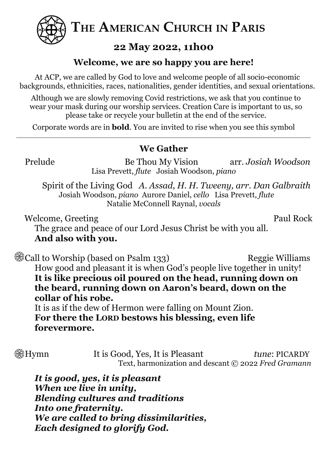

**THE AMERICAN CHURCH IN PARIS**

# **22 May 2022, 11h00**

## **Welcome, we are so happy you are here!**

At ACP, we are called by God to love and welcome people of all socio-economic backgrounds, ethnicities, races, nationalities, gender identities, and sexual orientations.

Although we are slowly removing Covid restrictions, we ask that you continue to wear your mask during our worship services. Creation Care is important to us, so please take or recycle your bulletin at the end of the service.

Corporate words are in **bold**. You are invited to rise when you see this symbol

# **We Gather**

Prelude Be Thou My Vision arr. *Josiah Woodson* Lisa Prevett, *flute* Josiah Woodson, *piano*

Spirit of the Living God *A. Assad, H. H. Tweeny, arr. Dan Galbraith* Josiah Woodson, *piano* Aurore Daniel, *cello* Lisa Prevett, *flute* Natalie McConnell Raynal, *vocals*

Welcome, Greeting Paul Rock

The grace and peace of our Lord Jesus Christ be with you all. **And also with you.**

**@@Call to Worship (based on Psalm 133)** Reggie Williams How good and pleasant it is when God's people live together in unity! **It is like precious oil poured on the head, running down on the beard, running down on Aaron's beard, down on the collar of his robe.** It is as if the dew of Hermon were falling on Mount Zion.

**For there the LORD bestows his blessing, even life forevermore.**

**Example 15 It is Good, Yes, It is Pleasant** *tune*: PICARDY Text, harmonization and descant © 2022 *Fred Gramann*

*It is good, yes, it is pleasant When we live in unity, Blending cultures and traditions Into one fraternity. We are called to bring dissimilarities, Each designed to glorify God.*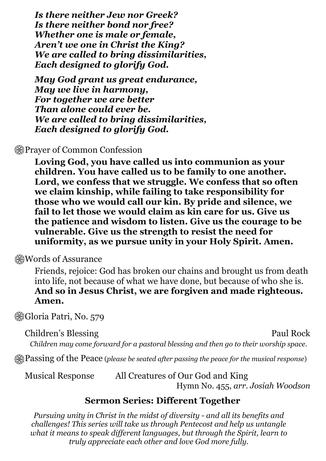*Is there neither Jew nor Greek? Is there neither bond nor free? Whether one is male or female, Aren't we one in Christ the King? We are called to bring dissimilarities, Each designed to glorify God.*

*May God grant us great endurance, May we live in harmony, For together we are better Than alone could ever be. We are called to bring dissimilarities, Each designed to glorify God.*

### **A**Prayer of Common Confession

**Loving God, you have called us into communion as your children. You have called us to be family to one another. Lord, we confess that we struggle. We confess that so often we claim kinship, while failing to take responsibility for those who we would call our kin. By pride and silence, we fail to let those we would claim as kin care for us. Give us the patience and wisdom to listen. Give us the courage to be vulnerable. Give us the strength to resist the need for uniformity, as we pursue unity in your Holy Spirit. Amen.**

#### **Words of Assurance**

Friends, rejoice: God has broken our chains and brought us from death into life, not because of what we have done, but because of who she is. **And so in Jesus Christ, we are forgiven and made righteous. Amen.**

Gloria Patri, No. 579

Children's Blessing Paul Rock

*Children may come forward for a pastoral blessing and then go to their worship space.*

Passing of the Peace (*please be seated after passing the peace for the musical response*)

Musical Response All Creatures of Our God and King Hymn No. 455, *arr. Josiah Woodson*

### **Sermon Series: Different Together**

*Pursuing unity in Christ in the midst of diversity - and all its benefits and challenges! This series will take us through Pentecost and help us untangle what it means to speak dif erent languages, but through the Spirit, learn to truly appreciate each other and love God more fully.*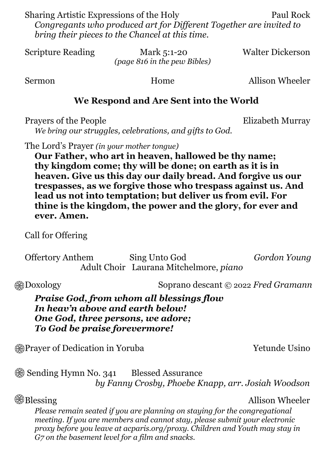Sharing Artistic Expressions of the Holy Paul Rock *Congregants who produced art for Dif erent Together are invited to bring their pieces to the Chancel at this time.*

Scripture Reading Mark 5:1-20 Walter Dickerson *(page 816 in the pew Bibles)*

Sermon Home Home Allison Wheeler

### **We Respond and Are Sent into the World**

Prayers of the People Elizabeth Murray

*We bring our struggles, celebrations, and gifts to God.*

The Lord's Prayer *(in your mother tongue)*

**Our Father, who art in heaven, hallowed be thy name; thy kingdom come; thy will be done; on earth as it is in heaven. Give us this day our daily bread. And forgive us our trespasses, as we forgive those who trespass against us. And lead us not into temptation; but deliver us from evil. For thine is the kingdom, the power and the glory, for ever and ever. Amen.**

Call for Offering

Offertory Anthem Sing Unto God *Gordon Young* Adult Choir Laurana Mitchelmore, *piano*

Doxology Soprano descant © 2022 *Fred Gramann*

*Praise God, from whom all blessings flow In heav'n above and earth below! One God, three persons, we adore; To God be praise forevermore!*

**Example 19 Separature 12 Separature 10 Separature 10 Separature 10 Separature 10 Separature 10 Separature 10 Separature 10 Separature 10 Separature 10 Separature 10 Separature 10 Separature 10 Separature 10 Separature 10** 

 $\circledR$  **Sending Hymn No. 341** Blessed Assurance *by Fanny Crosby, Phoebe Knapp, arr. Josiah Woodson*

## **Blessing Allison Wheeler**

*Please remain seated if you are planning on staying for the congregational meeting. If you are members and cannot stay, please submit your electronic proxy before you leave at acparis.org/proxy. Children and Youth may stay in G7 on the basement level for a film and snacks.*